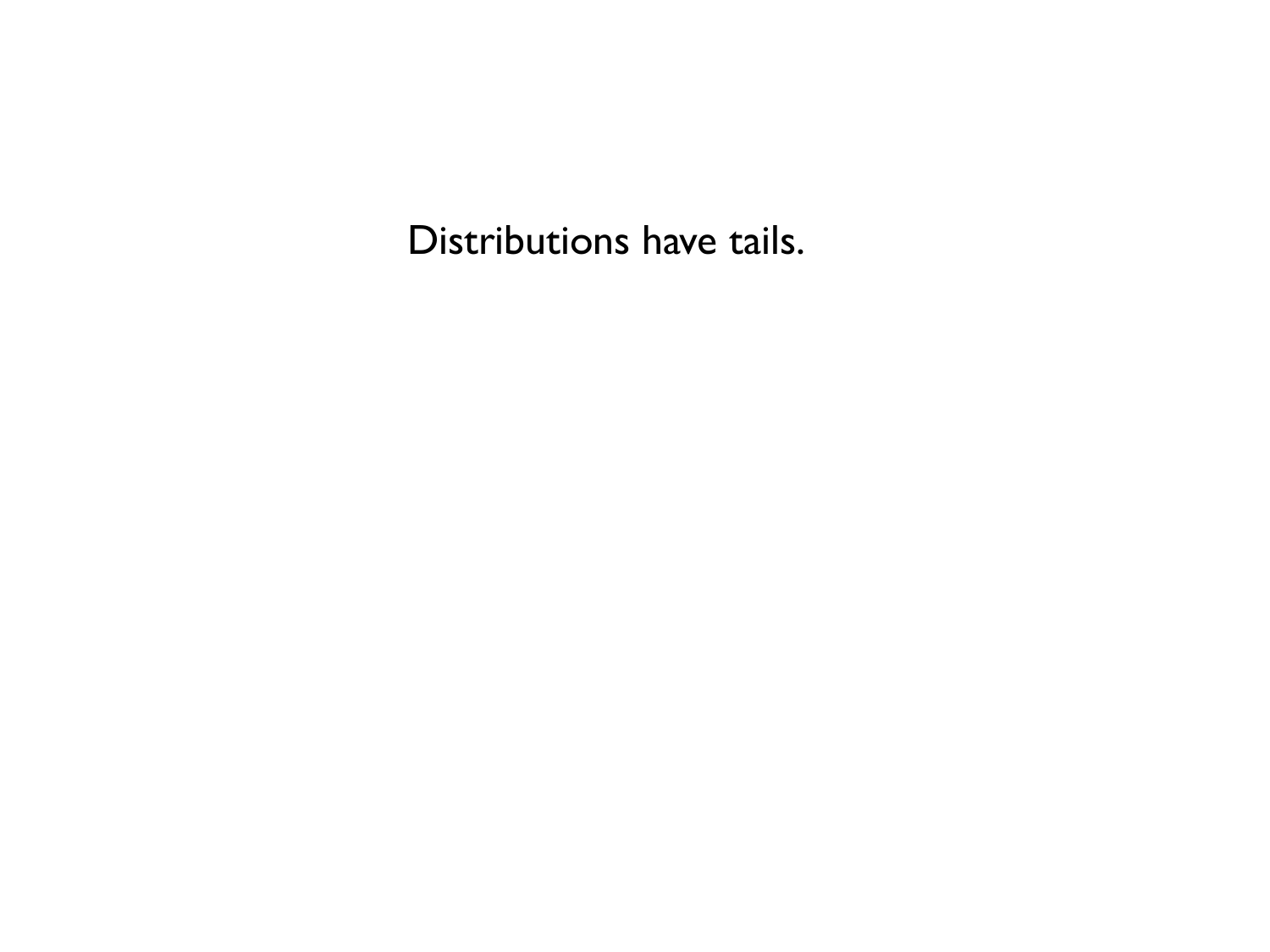Distributions have tails.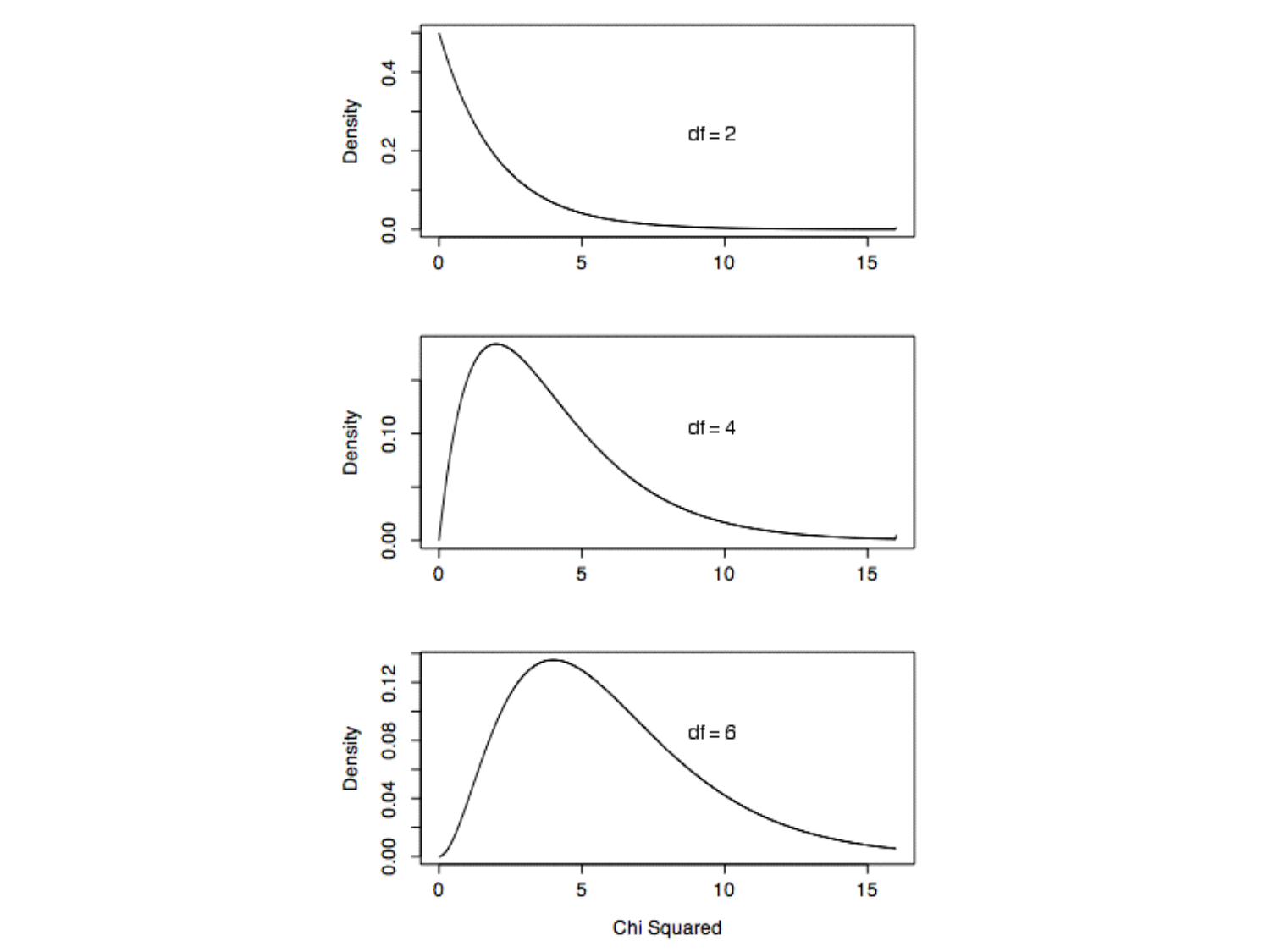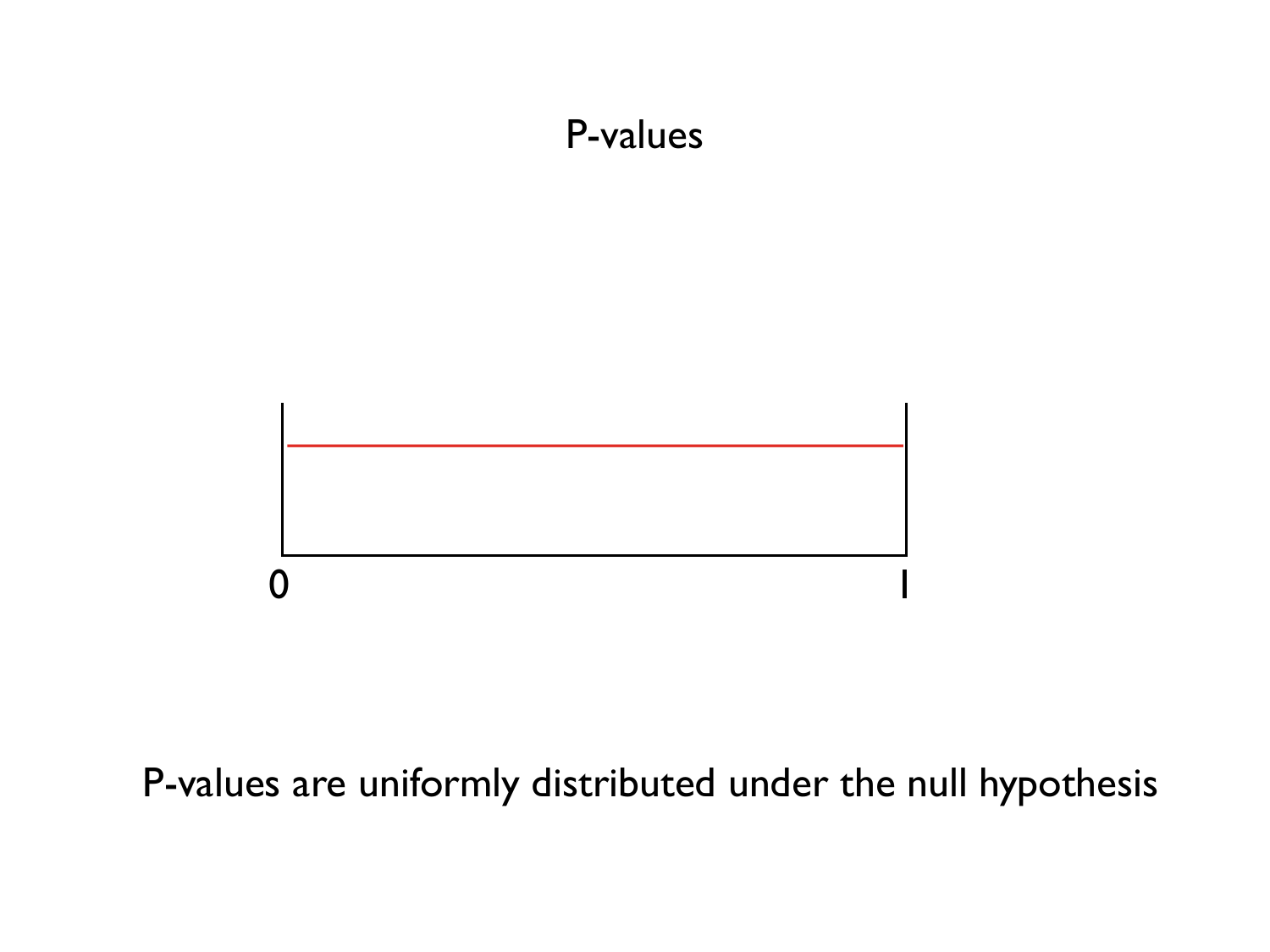

## P-values are uniformly distributed under the null hypothesis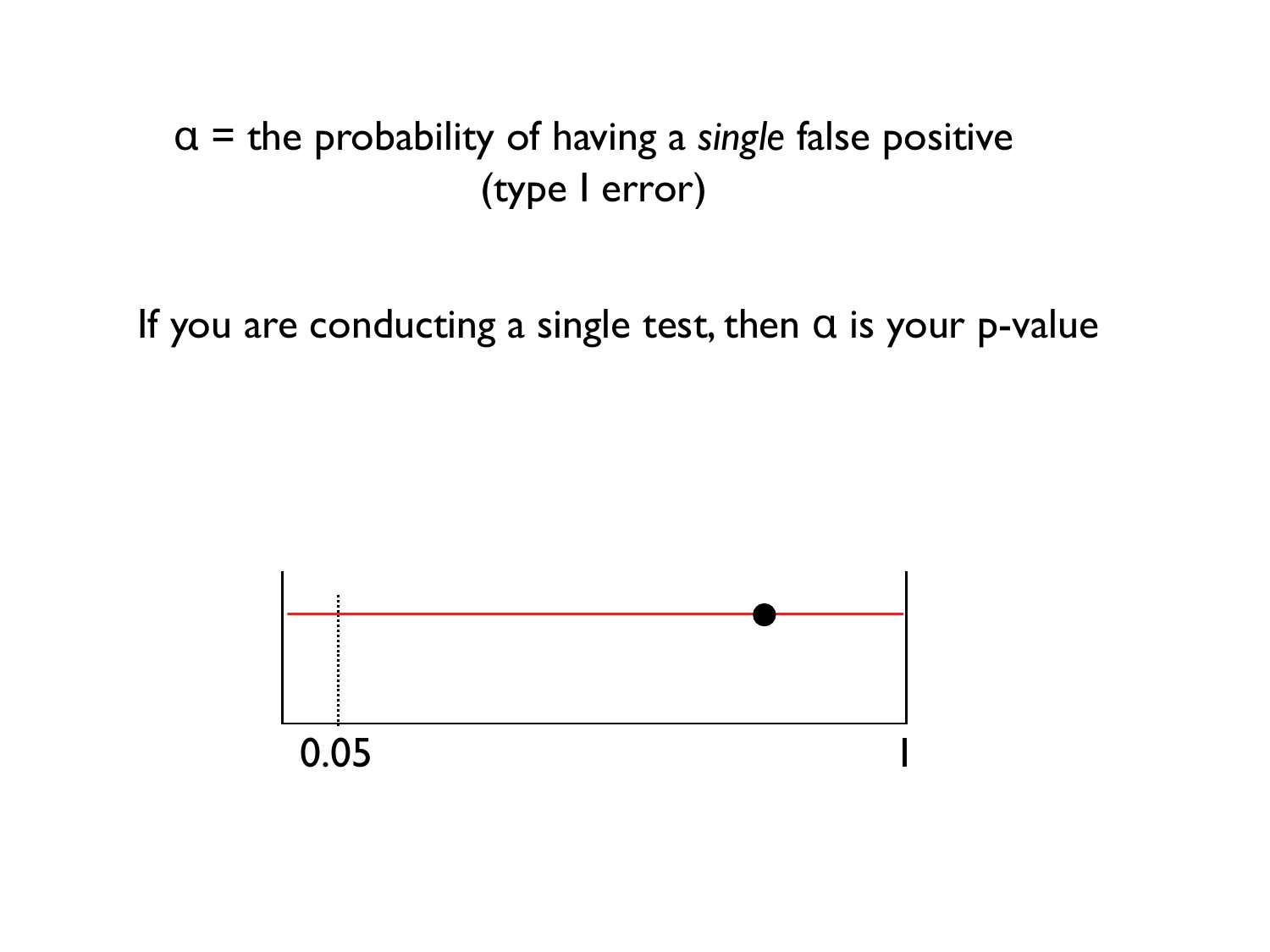## α = the probability of having a *single* false positive (type I error)

If you are conducting a single test, then  $\alpha$  is your p-value

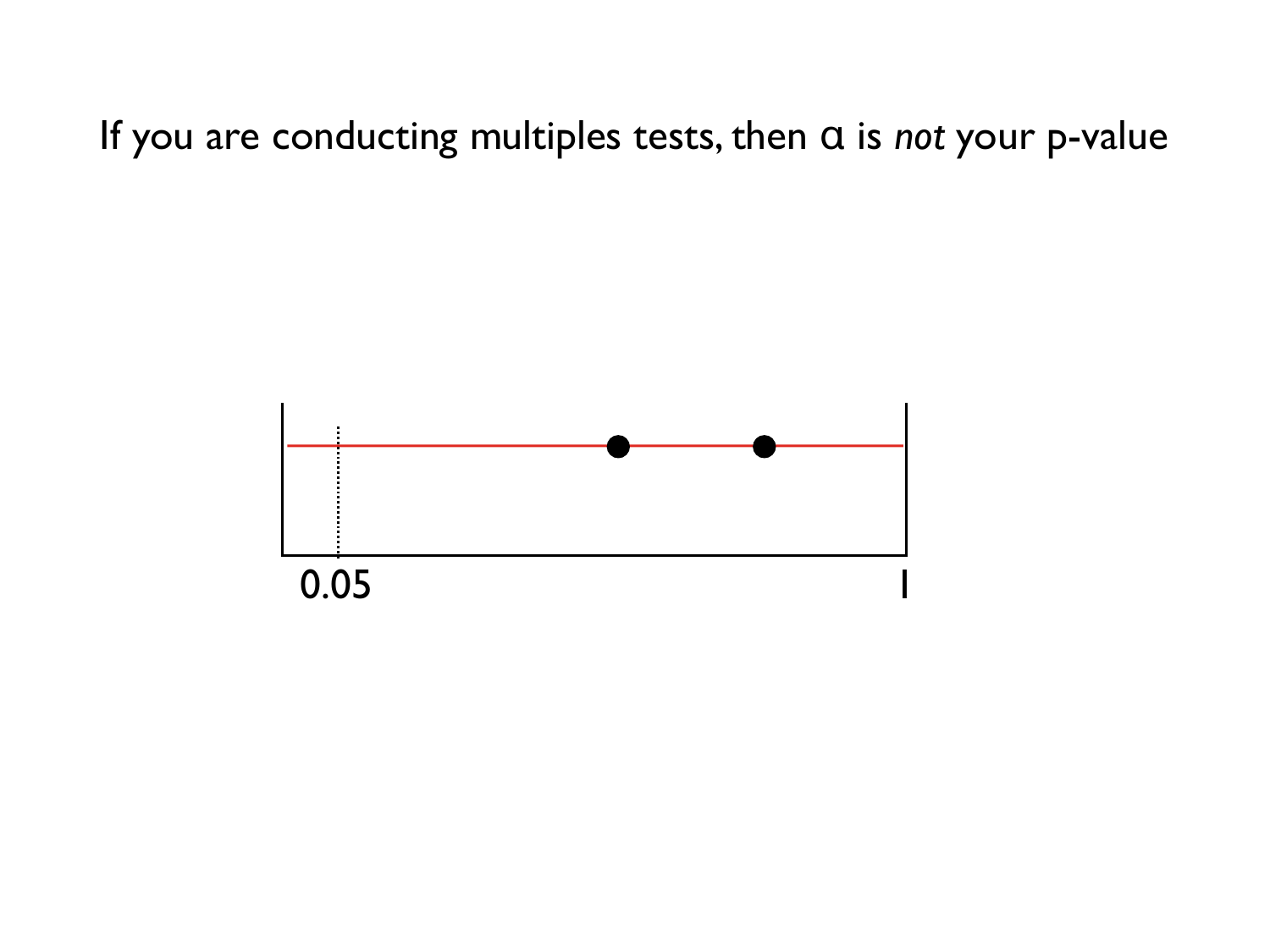If you are conducting multiples tests, then α is *not* your p-value

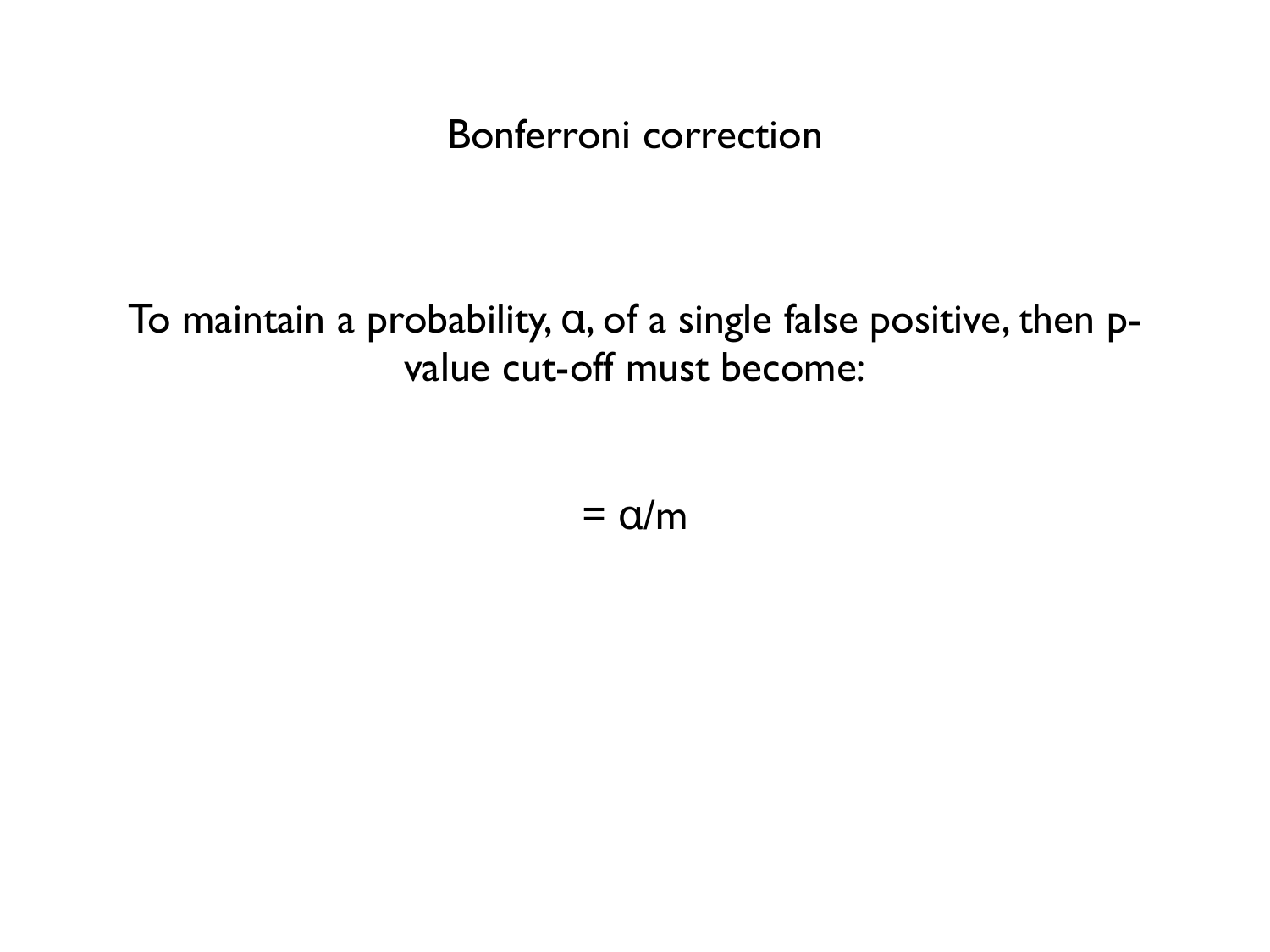Bonferroni correction

To maintain a probability, α, of a single false positive, then pvalue cut-off must become:

 $=$   $\alpha/m$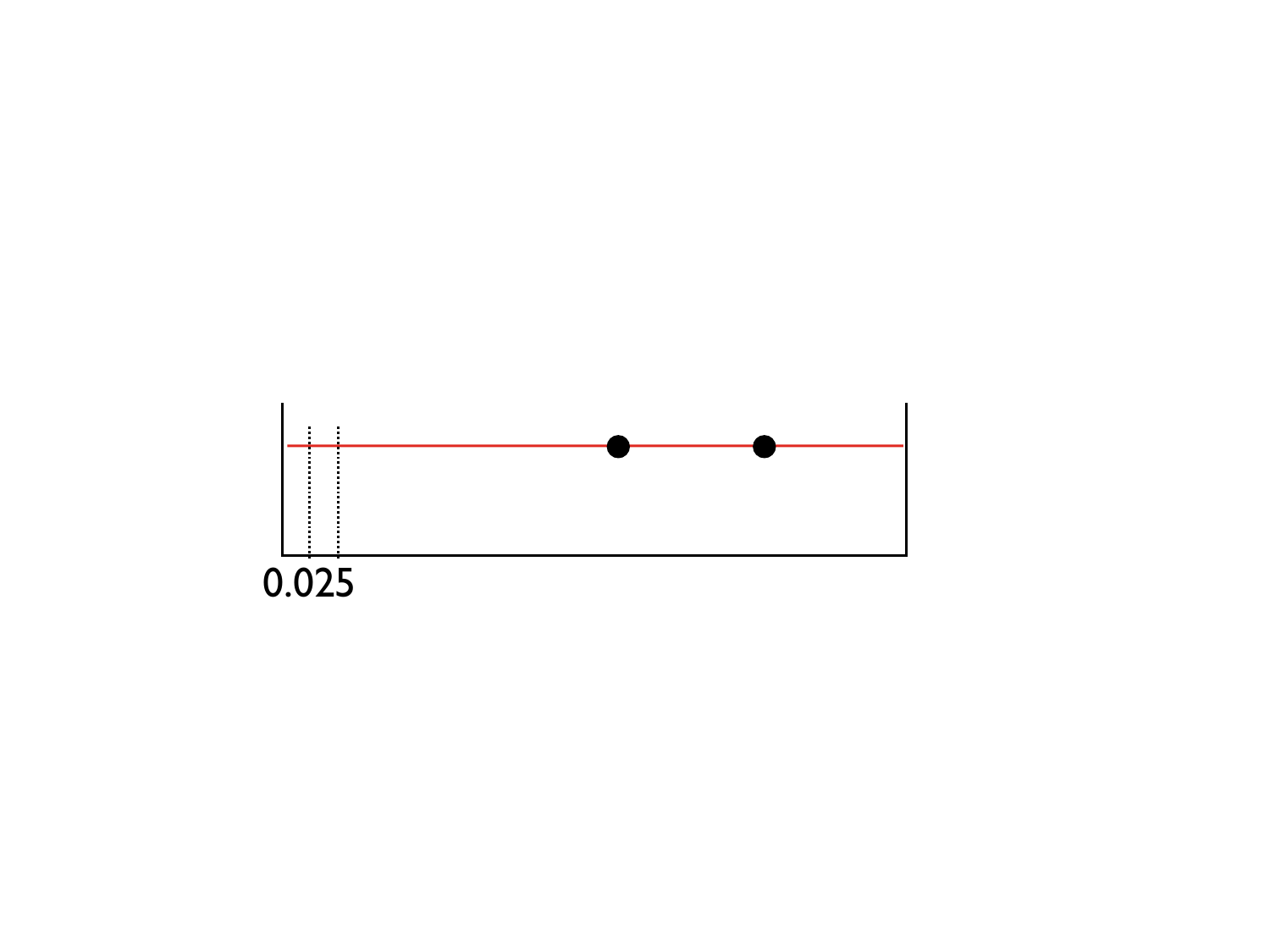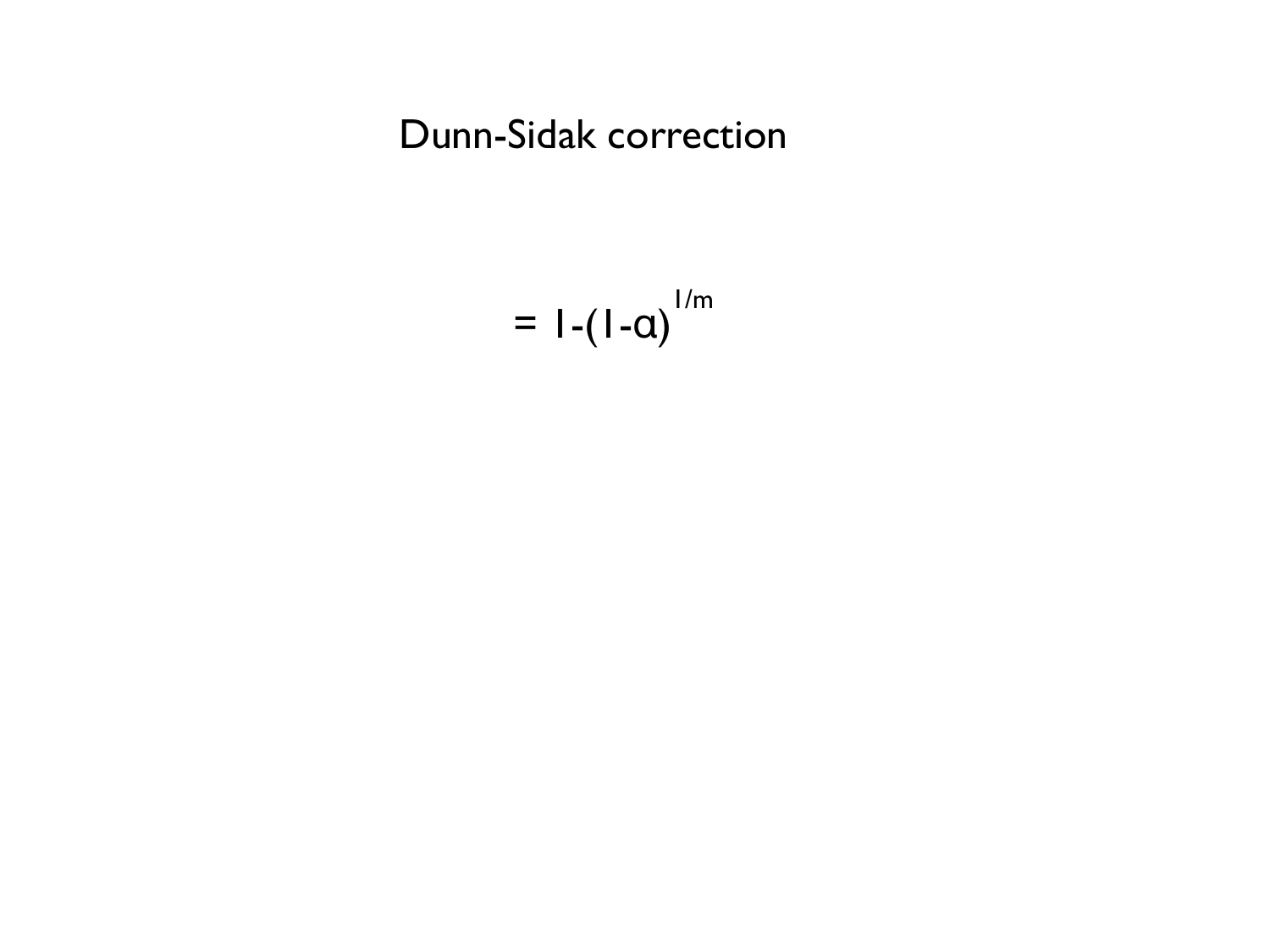#### Dunn-Sidak correction

$$
= I - (I - \alpha)^{1/m}
$$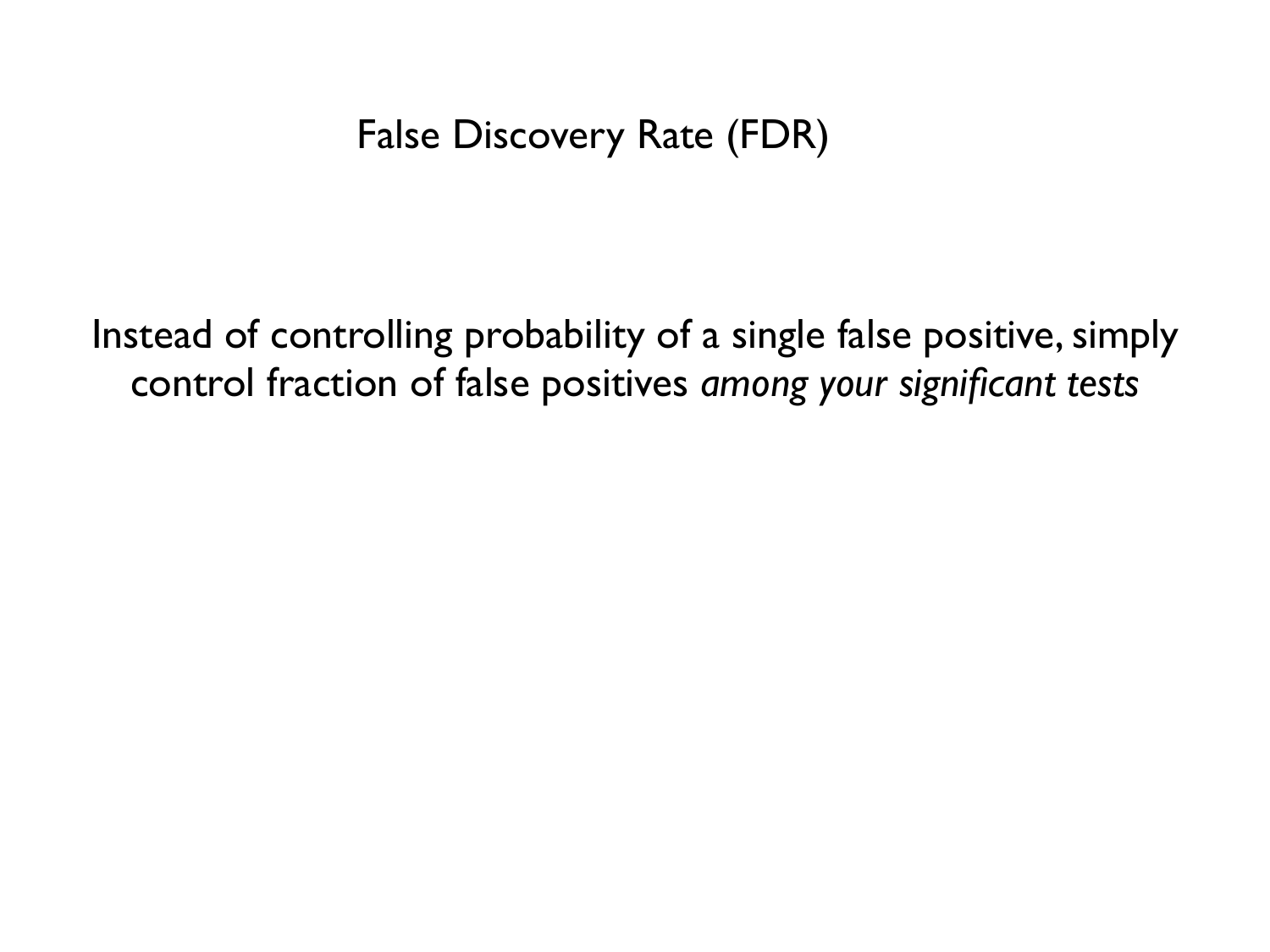#### False Discovery Rate (FDR)

Instead of controlling probability of a single false positive, simply control fraction of false positives *among your significant tests*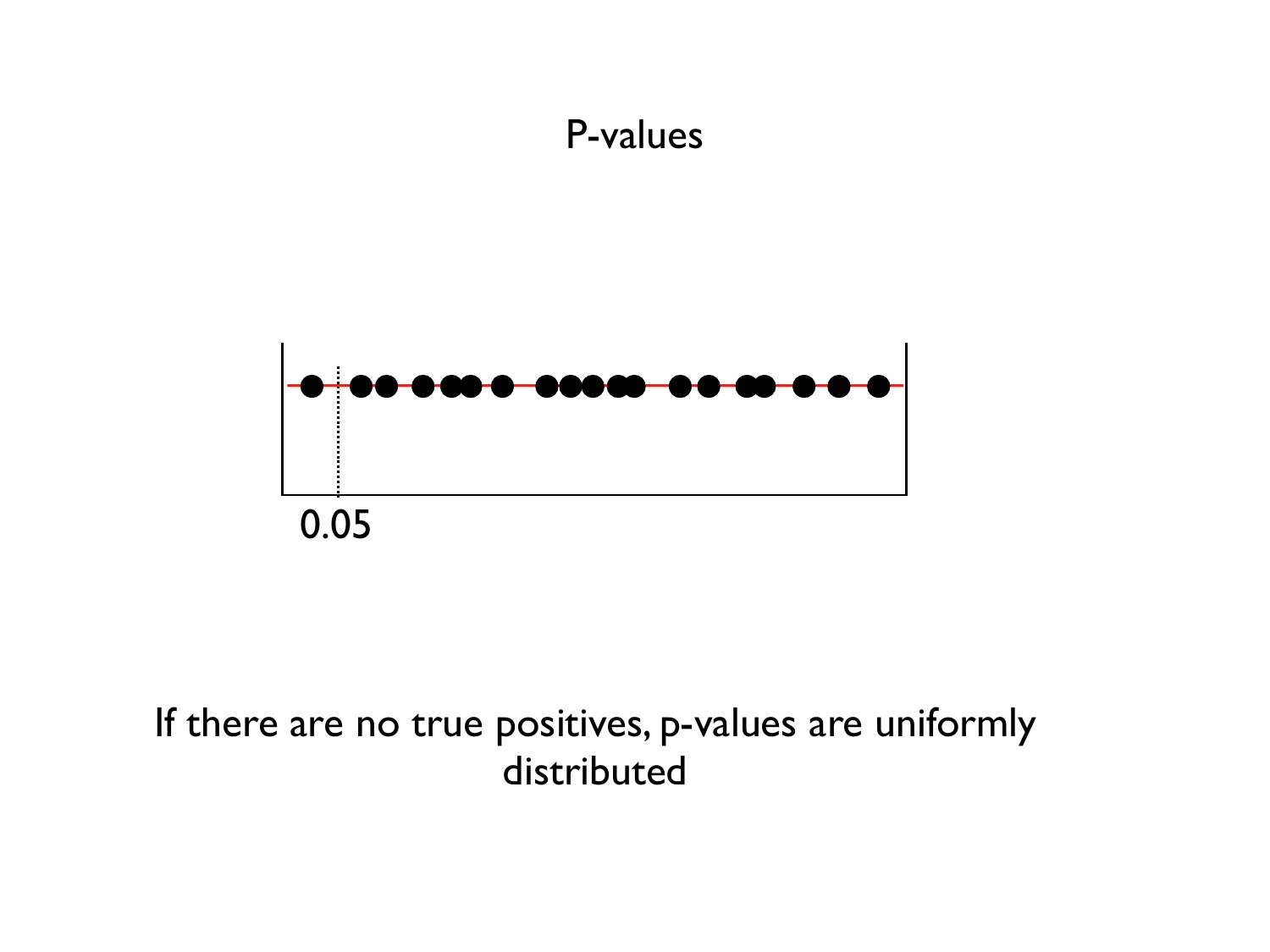

## If there are no true positives, p-values are uniformly distributed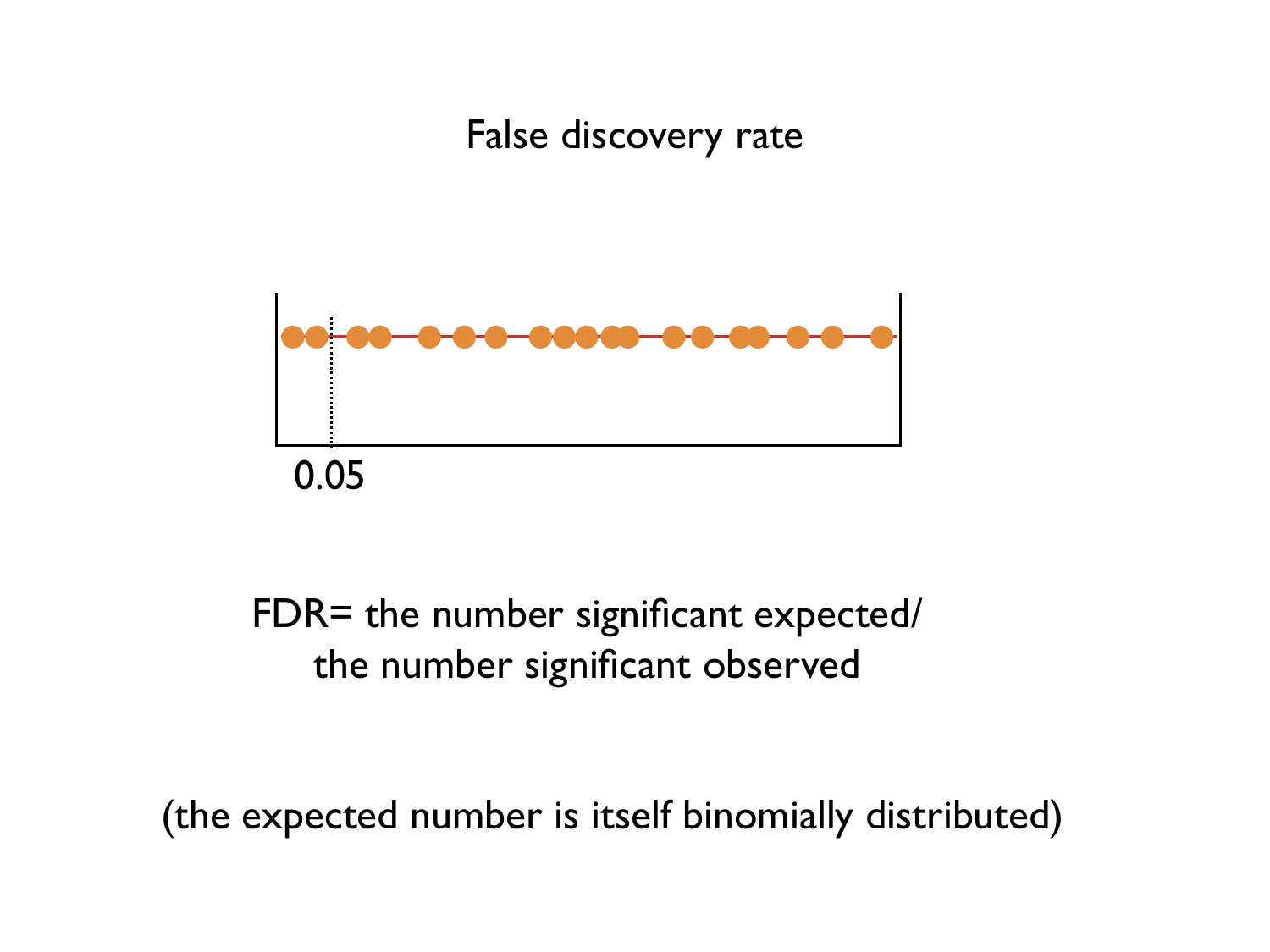False discovery rate



FDR= the number significant expected/ the number significant observed

(the expected number is itself binomially distributed)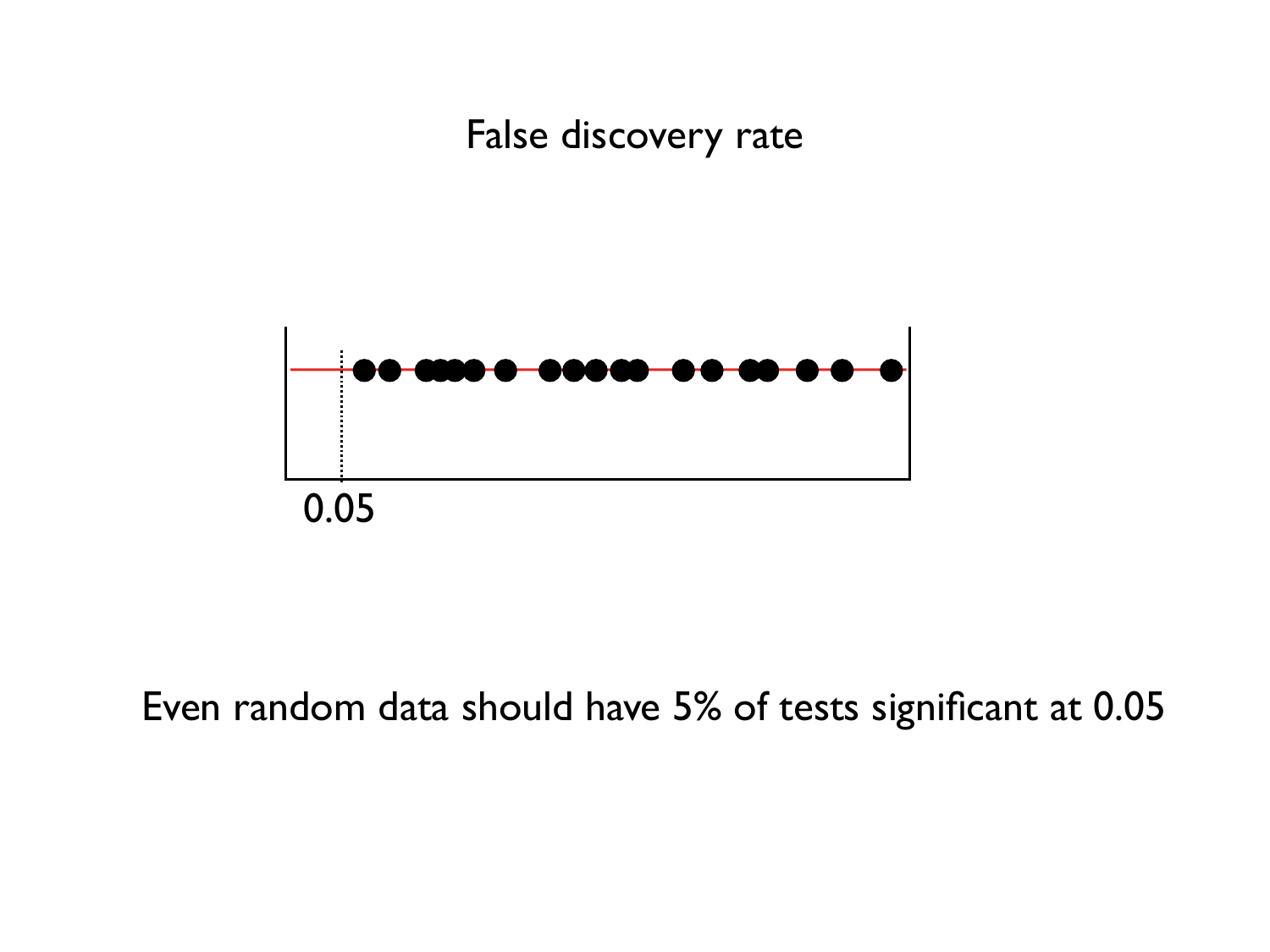False discovery rate



Even random data should have 5% of tests significant at 0.05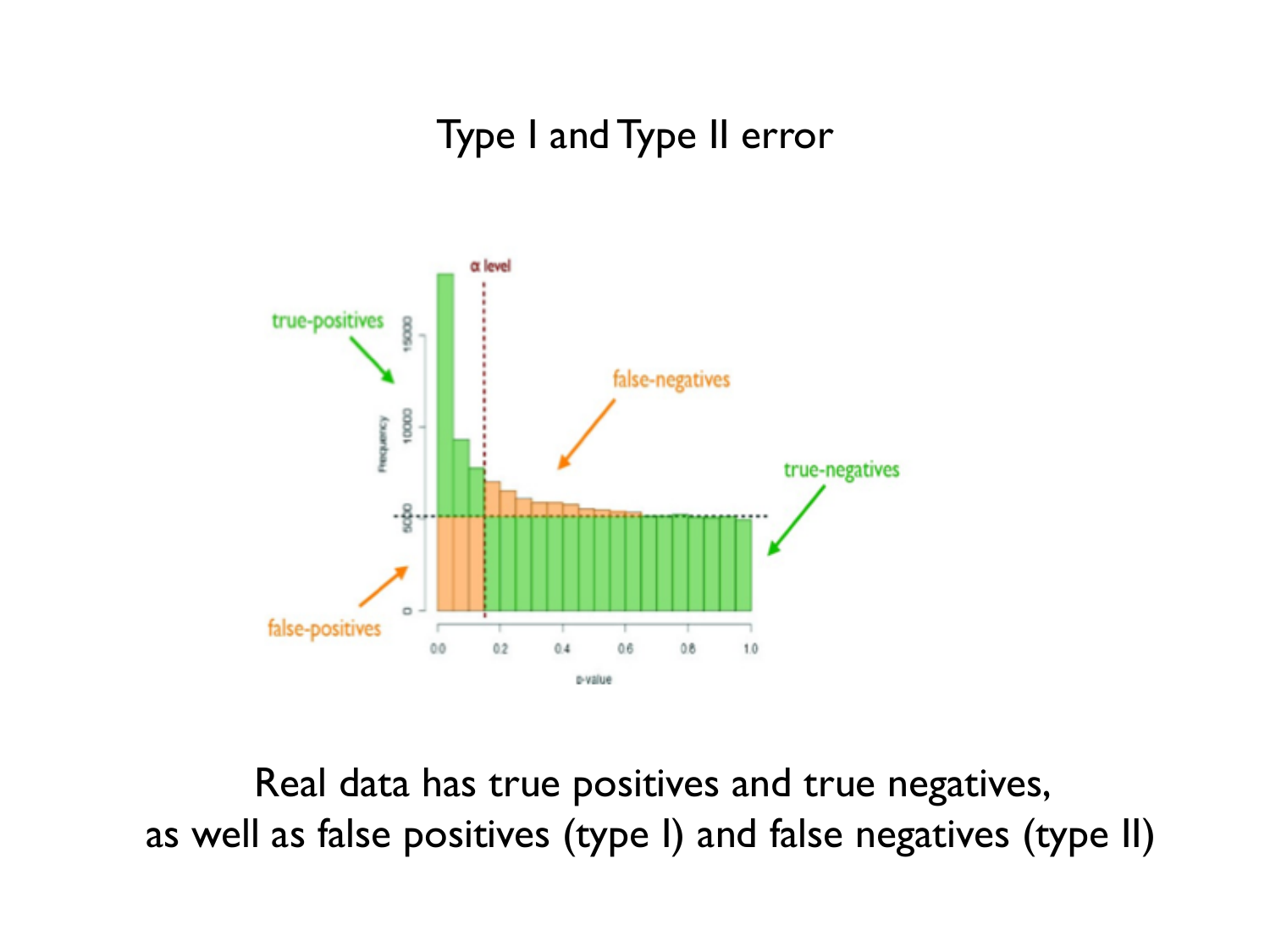# Type I and Type II error



Real data has true positives and true negatives, as well as false positives (type I) and false negatives (type II)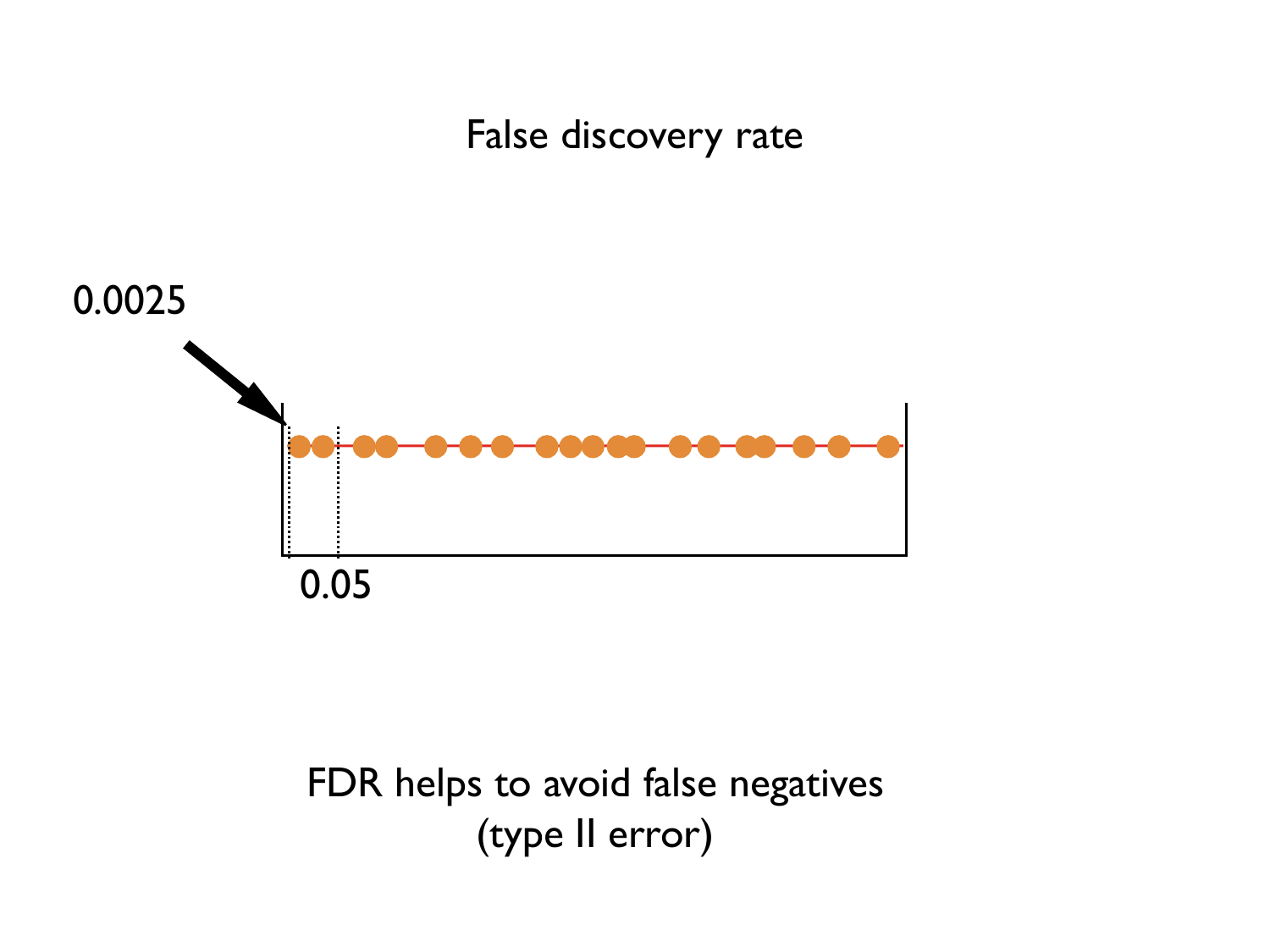

# FDR helps to avoid false negatives (type II error)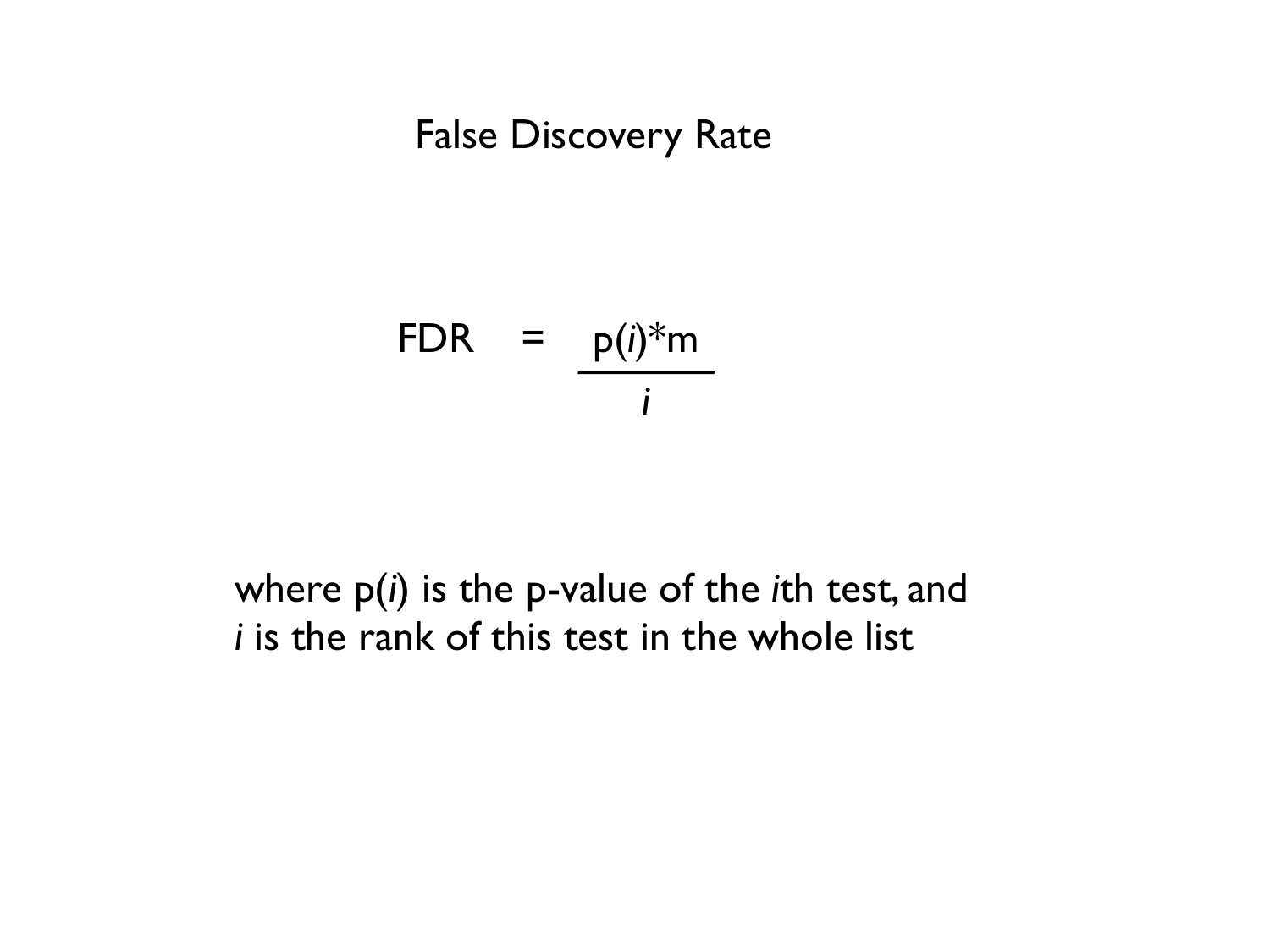#### False Discovery Rate

$$
FDR = p(i)*m
$$

where p(*i*) is the p-value of the *i*th test, and *i* is the rank of this test in the whole list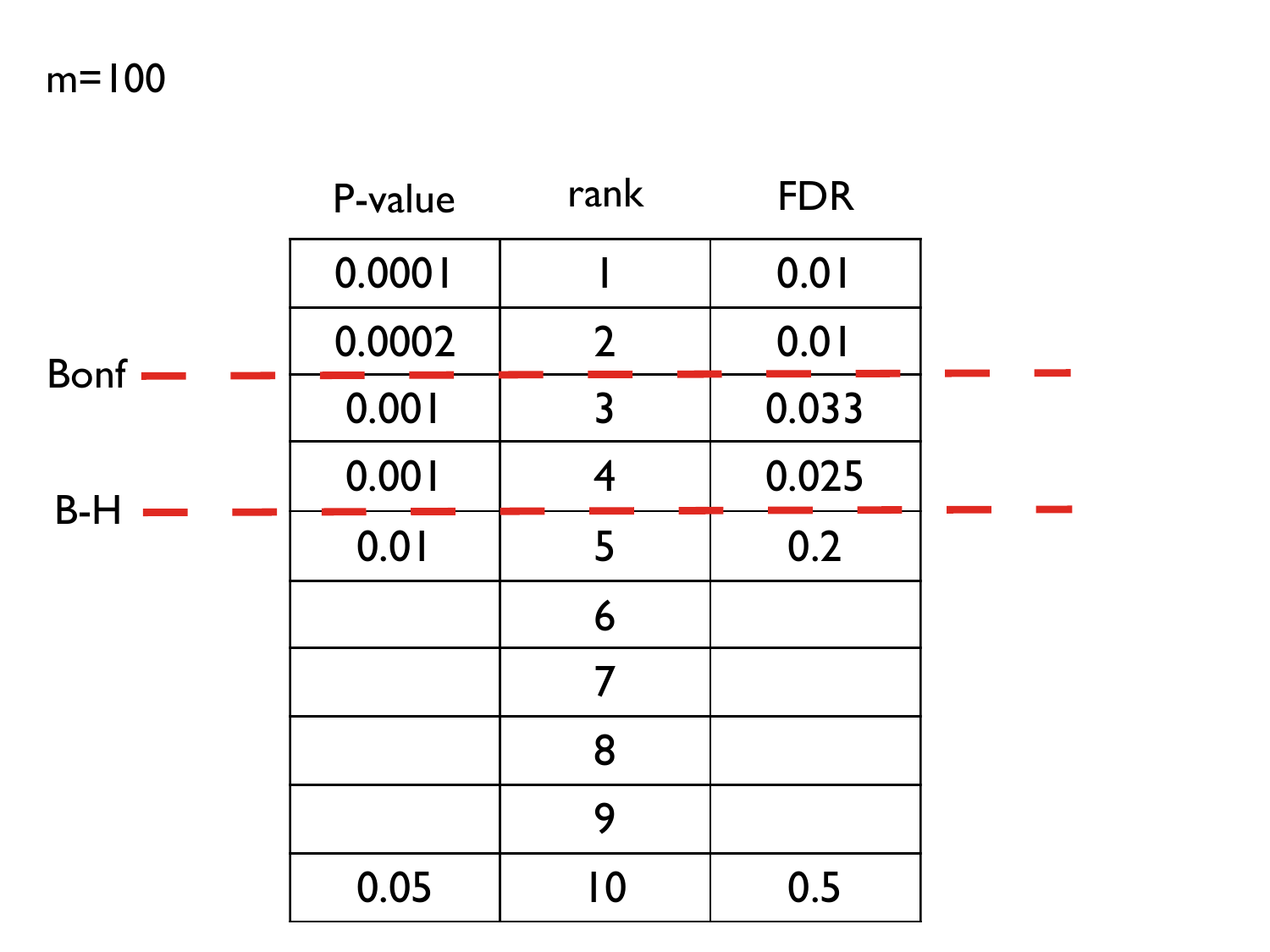$m=100$